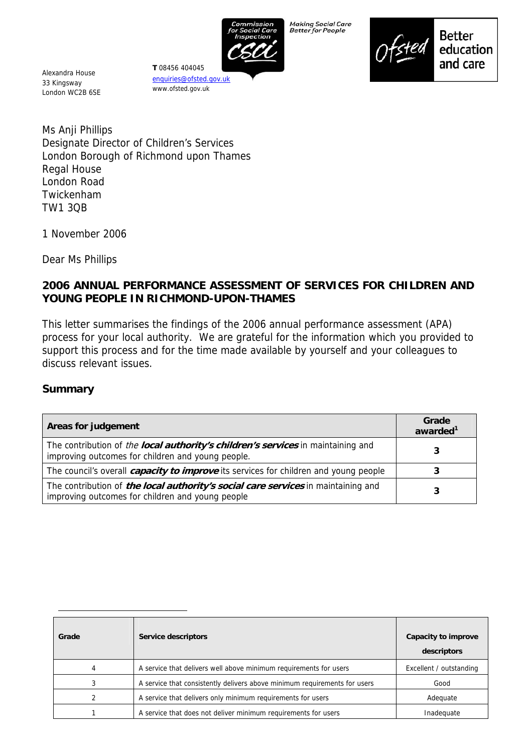

Making Social Care<br>Better for People



**Better** education and care

Alexandra House 33 Kingsway London WC2B 6SE

enquiries@ofsted.gov.uk www.ofsted.gov.uk

**T** 08456 404045

Ms Anji Phillips Designate Director of Children's Services London Borough of Richmond upon Thames Regal House London Road Twickenham TW1 3QB

1 November 2006

Dear Ms Phillips

# **2006 ANNUAL PERFORMANCE ASSESSMENT OF SERVICES FOR CHILDREN AND YOUNG PEOPLE IN RICHMOND-UPON-THAMES**

This letter summarises the findings of the 2006 annual performance assessment (APA) process for your local authority. We are grateful for the information which you provided to support this process and for the time made available by yourself and your colleagues to discuss relevant issues.

#### **Summary**

| Areas for judgement                                                                                                                   | Grade<br>awarded <sup>1</sup> |
|---------------------------------------------------------------------------------------------------------------------------------------|-------------------------------|
| The contribution of the local authority's children's services in maintaining and<br>improving outcomes for children and young people. |                               |
| The council's overall <i>capacity to improve</i> its services for children and young people                                           |                               |
| The contribution of the local authority's social care services in maintaining and<br>improving outcomes for children and young people | 3                             |

| Grade | Service descriptors                                                       | Capacity to improve<br>descriptors |
|-------|---------------------------------------------------------------------------|------------------------------------|
| 4     | A service that delivers well above minimum requirements for users         | Excellent / outstanding            |
| 3     | A service that consistently delivers above minimum requirements for users | Good                               |
|       | A service that delivers only minimum requirements for users               | Adequate                           |
|       | A service that does not deliver minimum requirements for users            | Inadequate                         |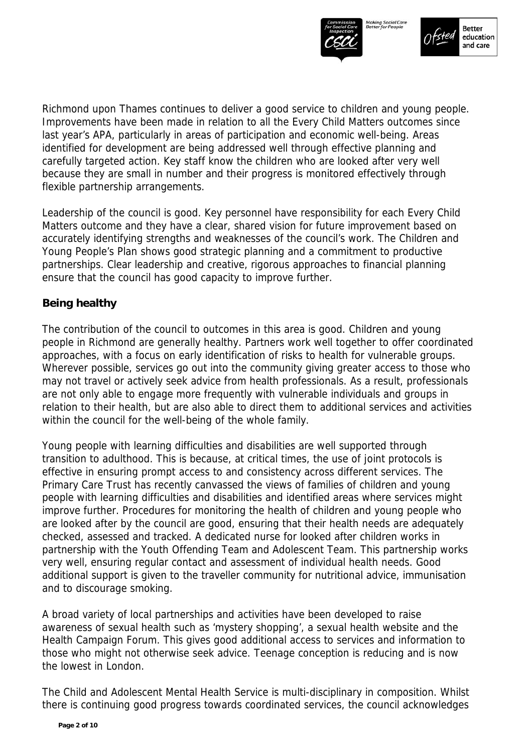



Richmond upon Thames continues to deliver a good service to children and young people. Improvements have been made in relation to all the Every Child Matters outcomes since last year's APA, particularly in areas of participation and economic well-being. Areas identified for development are being addressed well through effective planning and carefully targeted action. Key staff know the children who are looked after very well because they are small in number and their progress is monitored effectively through flexible partnership arrangements.

Leadership of the council is good. Key personnel have responsibility for each Every Child Matters outcome and they have a clear, shared vision for future improvement based on accurately identifying strengths and weaknesses of the council's work. The Children and Young People's Plan shows good strategic planning and a commitment to productive partnerships. Clear leadership and creative, rigorous approaches to financial planning ensure that the council has good capacity to improve further.

# **Being healthy**

The contribution of the council to outcomes in this area is good. Children and young people in Richmond are generally healthy. Partners work well together to offer coordinated approaches, with a focus on early identification of risks to health for vulnerable groups. Wherever possible, services go out into the community giving greater access to those who may not travel or actively seek advice from health professionals. As a result, professionals are not only able to engage more frequently with vulnerable individuals and groups in relation to their health, but are also able to direct them to additional services and activities within the council for the well-being of the whole family.

Young people with learning difficulties and disabilities are well supported through transition to adulthood. This is because, at critical times, the use of joint protocols is effective in ensuring prompt access to and consistency across different services. The Primary Care Trust has recently canvassed the views of families of children and young people with learning difficulties and disabilities and identified areas where services might improve further. Procedures for monitoring the health of children and young people who are looked after by the council are good, ensuring that their health needs are adequately checked, assessed and tracked. A dedicated nurse for looked after children works in partnership with the Youth Offending Team and Adolescent Team. This partnership works very well, ensuring regular contact and assessment of individual health needs. Good additional support is given to the traveller community for nutritional advice, immunisation and to discourage smoking.

A broad variety of local partnerships and activities have been developed to raise awareness of sexual health such as 'mystery shopping', a sexual health website and the Health Campaign Forum. This gives good additional access to services and information to those who might not otherwise seek advice. Teenage conception is reducing and is now the lowest in London.

The Child and Adolescent Mental Health Service is multi-disciplinary in composition. Whilst there is continuing good progress towards coordinated services, the council acknowledges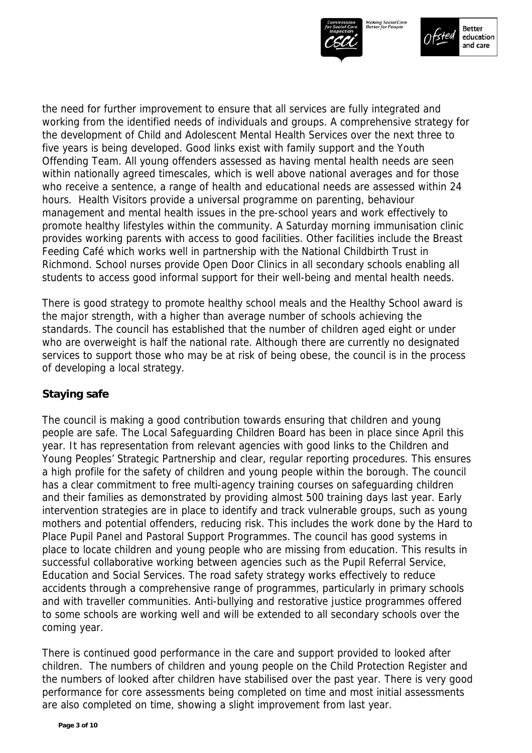



the need for further improvement to ensure that all services are fully integrated and working from the identified needs of individuals and groups. A comprehensive strategy for the development of Child and Adolescent Mental Health Services over the next three to five years is being developed. Good links exist with family support and the Youth Offending Team. All young offenders assessed as having mental health needs are seen within nationally agreed timescales, which is well above national averages and for those who receive a sentence, a range of health and educational needs are assessed within 24 hours. Health Visitors provide a universal programme on parenting, behaviour management and mental health issues in the pre-school years and work effectively to promote healthy lifestyles within the community. A Saturday morning immunisation clinic provides working parents with access to good facilities. Other facilities include the Breast Feeding Café which works well in partnership with the National Childbirth Trust in Richmond. School nurses provide Open Door Clinics in all secondary schools enabling all students to access good informal support for their well-being and mental health needs.

There is good strategy to promote healthy school meals and the Healthy School award is the major strength, with a higher than average number of schools achieving the standards. The council has established that the number of children aged eight or under who are overweight is half the national rate. Although there are currently no designated services to support those who may be at risk of being obese, the council is in the process of developing a local strategy.

# **Staying safe**

The council is making a good contribution towards ensuring that children and young people are safe. The Local Safeguarding Children Board has been in place since April this year. It has representation from relevant agencies with good links to the Children and Young Peoples' Strategic Partnership and clear, regular reporting procedures. This ensures a high profile for the safety of children and young people within the borough. The council has a clear commitment to free multi-agency training courses on safeguarding children and their families as demonstrated by providing almost 500 training days last year. Early intervention strategies are in place to identify and track vulnerable groups, such as young mothers and potential offenders, reducing risk. This includes the work done by the Hard to Place Pupil Panel and Pastoral Support Programmes. The council has good systems in place to locate children and young people who are missing from education. This results in successful collaborative working between agencies such as the Pupil Referral Service, Education and Social Services. The road safety strategy works effectively to reduce accidents through a comprehensive range of programmes, particularly in primary schools and with traveller communities. Anti-bullying and restorative justice programmes offered to some schools are working well and will be extended to all secondary schools over the coming year.

There is continued good performance in the care and support provided to looked after children. The numbers of children and young people on the Child Protection Register and the numbers of looked after children have stabilised over the past year. There is very good performance for core assessments being completed on time and most initial assessments are also completed on time, showing a slight improvement from last year.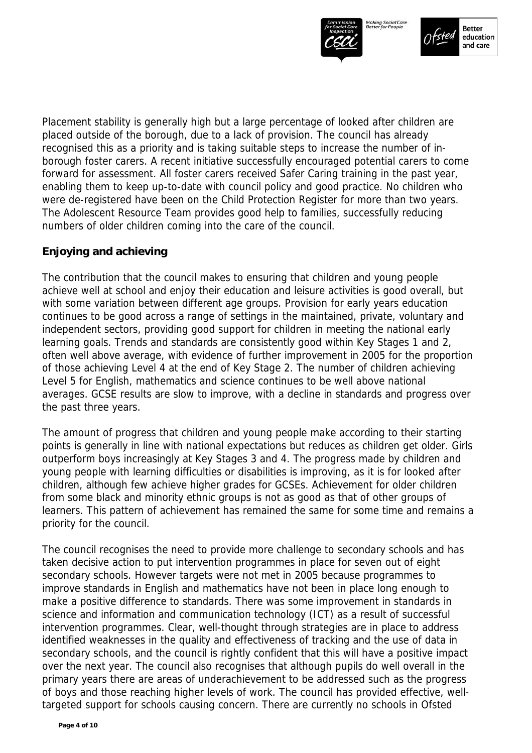



Placement stability is generally high but a large percentage of looked after children are placed outside of the borough, due to a lack of provision. The council has already recognised this as a priority and is taking suitable steps to increase the number of inborough foster carers. A recent initiative successfully encouraged potential carers to come forward for assessment. All foster carers received Safer Caring training in the past year, enabling them to keep up-to-date with council policy and good practice. No children who were de-registered have been on the Child Protection Register for more than two years. The Adolescent Resource Team provides good help to families, successfully reducing numbers of older children coming into the care of the council.

# **Enjoying and achieving**

The contribution that the council makes to ensuring that children and young people achieve well at school and enjoy their education and leisure activities is good overall, but with some variation between different age groups. Provision for early years education continues to be good across a range of settings in the maintained, private, voluntary and independent sectors, providing good support for children in meeting the national early learning goals. Trends and standards are consistently good within Key Stages 1 and 2, often well above average, with evidence of further improvement in 2005 for the proportion of those achieving Level 4 at the end of Key Stage 2. The number of children achieving Level 5 for English, mathematics and science continues to be well above national averages. GCSE results are slow to improve, with a decline in standards and progress over the past three years.

The amount of progress that children and young people make according to their starting points is generally in line with national expectations but reduces as children get older. Girls outperform boys increasingly at Key Stages 3 and 4. The progress made by children and young people with learning difficulties or disabilities is improving, as it is for looked after children, although few achieve higher grades for GCSEs. Achievement for older children from some black and minority ethnic groups is not as good as that of other groups of learners. This pattern of achievement has remained the same for some time and remains a priority for the council.

The council recognises the need to provide more challenge to secondary schools and has taken decisive action to put intervention programmes in place for seven out of eight secondary schools. However targets were not met in 2005 because programmes to improve standards in English and mathematics have not been in place long enough to make a positive difference to standards. There was some improvement in standards in science and information and communication technology (ICT) as a result of successful intervention programmes. Clear, well-thought through strategies are in place to address identified weaknesses in the quality and effectiveness of tracking and the use of data in secondary schools, and the council is rightly confident that this will have a positive impact over the next year. The council also recognises that although pupils do well overall in the primary years there are areas of underachievement to be addressed such as the progress of boys and those reaching higher levels of work. The council has provided effective, welltargeted support for schools causing concern. There are currently no schools in Ofsted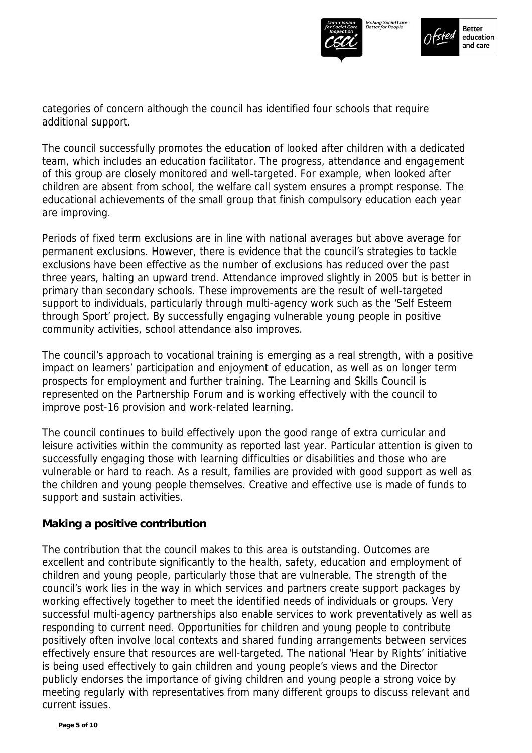



categories of concern although the council has identified four schools that require additional support.

The council successfully promotes the education of looked after children with a dedicated team, which includes an education facilitator. The progress, attendance and engagement of this group are closely monitored and well-targeted. For example, when looked after children are absent from school, the welfare call system ensures a prompt response. The educational achievements of the small group that finish compulsory education each year are improving.

Periods of fixed term exclusions are in line with national averages but above average for permanent exclusions. However, there is evidence that the council's strategies to tackle exclusions have been effective as the number of exclusions has reduced over the past three years, halting an upward trend. Attendance improved slightly in 2005 but is better in primary than secondary schools. These improvements are the result of well-targeted support to individuals, particularly through multi-agency work such as the 'Self Esteem through Sport' project. By successfully engaging vulnerable young people in positive community activities, school attendance also improves.

The council's approach to vocational training is emerging as a real strength, with a positive impact on learners' participation and enjoyment of education, as well as on longer term prospects for employment and further training. The Learning and Skills Council is represented on the Partnership Forum and is working effectively with the council to improve post-16 provision and work-related learning.

The council continues to build effectively upon the good range of extra curricular and leisure activities within the community as reported last year. Particular attention is given to successfully engaging those with learning difficulties or disabilities and those who are vulnerable or hard to reach. As a result, families are provided with good support as well as the children and young people themselves. Creative and effective use is made of funds to support and sustain activities.

# **Making a positive contribution**

The contribution that the council makes to this area is outstanding. Outcomes are excellent and contribute significantly to the health, safety, education and employment of children and young people, particularly those that are vulnerable. The strength of the council's work lies in the way in which services and partners create support packages by working effectively together to meet the identified needs of individuals or groups. Very successful multi-agency partnerships also enable services to work preventatively as well as responding to current need. Opportunities for children and young people to contribute positively often involve local contexts and shared funding arrangements between services effectively ensure that resources are well-targeted. The national 'Hear by Rights' initiative is being used effectively to gain children and young people's views and the Director publicly endorses the importance of giving children and young people a strong voice by meeting regularly with representatives from many different groups to discuss relevant and current issues.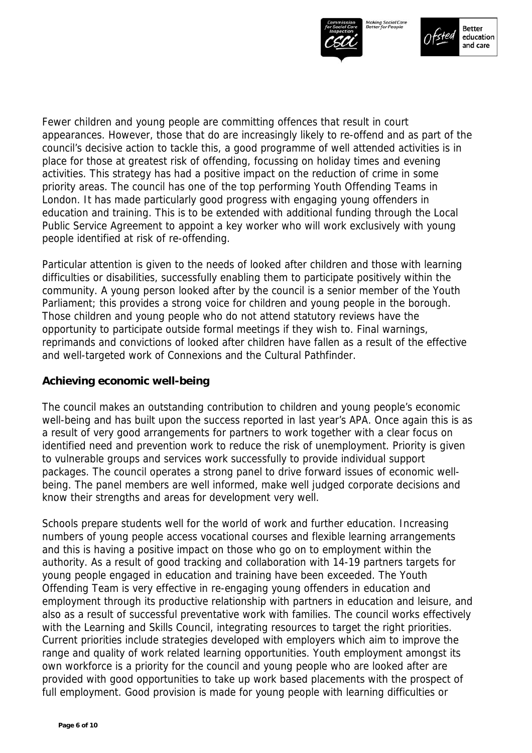



Fewer children and young people are committing offences that result in court appearances. However, those that do are increasingly likely to re-offend and as part of the council's decisive action to tackle this, a good programme of well attended activities is in place for those at greatest risk of offending, focussing on holiday times and evening activities. This strategy has had a positive impact on the reduction of crime in some priority areas. The council has one of the top performing Youth Offending Teams in London. It has made particularly good progress with engaging young offenders in education and training. This is to be extended with additional funding through the Local Public Service Agreement to appoint a key worker who will work exclusively with young people identified at risk of re-offending.

Particular attention is given to the needs of looked after children and those with learning difficulties or disabilities, successfully enabling them to participate positively within the community. A young person looked after by the council is a senior member of the Youth Parliament; this provides a strong voice for children and young people in the borough. Those children and young people who do not attend statutory reviews have the opportunity to participate outside formal meetings if they wish to. Final warnings, reprimands and convictions of looked after children have fallen as a result of the effective and well-targeted work of Connexions and the Cultural Pathfinder.

#### **Achieving economic well-being**

The council makes an outstanding contribution to children and young people's economic well-being and has built upon the success reported in last year's APA. Once again this is as a result of very good arrangements for partners to work together with a clear focus on identified need and prevention work to reduce the risk of unemployment. Priority is given to vulnerable groups and services work successfully to provide individual support packages. The council operates a strong panel to drive forward issues of economic wellbeing. The panel members are well informed, make well judged corporate decisions and know their strengths and areas for development very well.

Schools prepare students well for the world of work and further education. Increasing numbers of young people access vocational courses and flexible learning arrangements and this is having a positive impact on those who go on to employment within the authority. As a result of good tracking and collaboration with 14-19 partners targets for young people engaged in education and training have been exceeded. The Youth Offending Team is very effective in re-engaging young offenders in education and employment through its productive relationship with partners in education and leisure, and also as a result of successful preventative work with families. The council works effectively with the Learning and Skills Council, integrating resources to target the right priorities. Current priorities include strategies developed with employers which aim to improve the range and quality of work related learning opportunities. Youth employment amongst its own workforce is a priority for the council and young people who are looked after are provided with good opportunities to take up work based placements with the prospect of full employment. Good provision is made for young people with learning difficulties or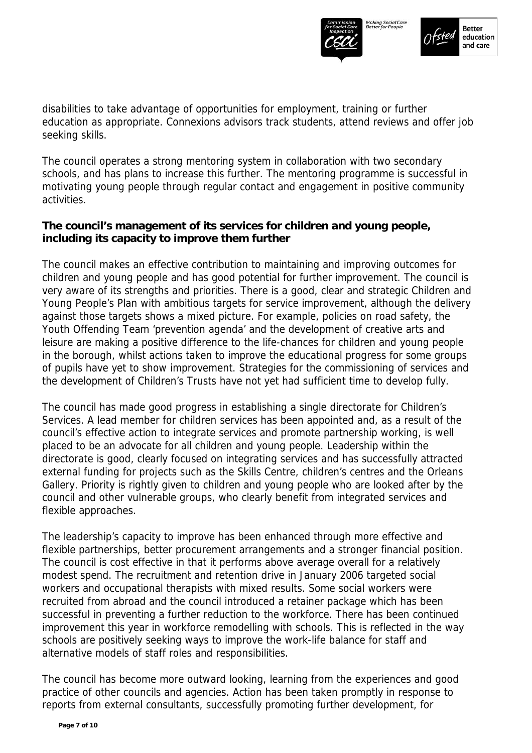



disabilities to take advantage of opportunities for employment, training or further education as appropriate. Connexions advisors track students, attend reviews and offer job seeking skills.

The council operates a strong mentoring system in collaboration with two secondary schools, and has plans to increase this further. The mentoring programme is successful in motivating young people through regular contact and engagement in positive community activities.

# **The council's management of its services for children and young people, including its capacity to improve them further**

The council makes an effective contribution to maintaining and improving outcomes for children and young people and has good potential for further improvement. The council is very aware of its strengths and priorities. There is a good, clear and strategic Children and Young People's Plan with ambitious targets for service improvement, although the delivery against those targets shows a mixed picture. For example, policies on road safety, the Youth Offending Team 'prevention agenda' and the development of creative arts and leisure are making a positive difference to the life-chances for children and young people in the borough, whilst actions taken to improve the educational progress for some groups of pupils have yet to show improvement. Strategies for the commissioning of services and the development of Children's Trusts have not yet had sufficient time to develop fully.

The council has made good progress in establishing a single directorate for Children's Services. A lead member for children services has been appointed and, as a result of the council's effective action to integrate services and promote partnership working, is well placed to be an advocate for all children and young people. Leadership within the directorate is good, clearly focused on integrating services and has successfully attracted external funding for projects such as the Skills Centre, children's centres and the Orleans Gallery. Priority is rightly given to children and young people who are looked after by the council and other vulnerable groups, who clearly benefit from integrated services and flexible approaches.

The leadership's capacity to improve has been enhanced through more effective and flexible partnerships, better procurement arrangements and a stronger financial position. The council is cost effective in that it performs above average overall for a relatively modest spend. The recruitment and retention drive in January 2006 targeted social workers and occupational therapists with mixed results. Some social workers were recruited from abroad and the council introduced a retainer package which has been successful in preventing a further reduction to the workforce. There has been continued improvement this year in workforce remodelling with schools. This is reflected in the way schools are positively seeking ways to improve the work-life balance for staff and alternative models of staff roles and responsibilities.

The council has become more outward looking, learning from the experiences and good practice of other councils and agencies. Action has been taken promptly in response to reports from external consultants, successfully promoting further development, for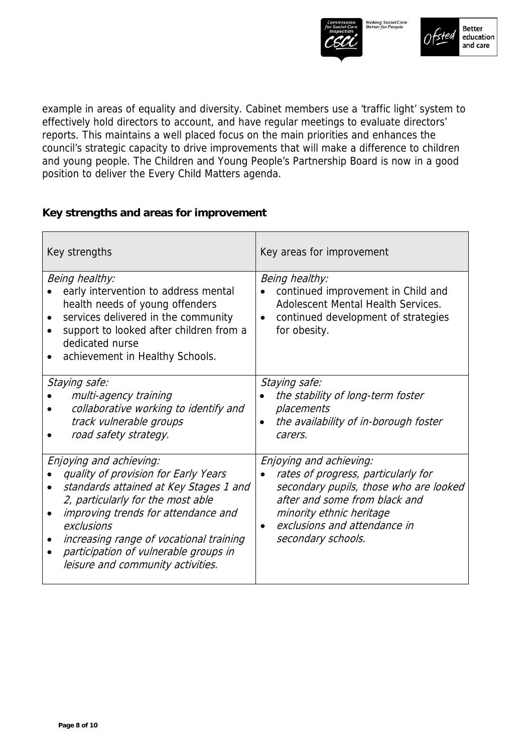



example in areas of equality and diversity. Cabinet members use a 'traffic light' system to effectively hold directors to account, and have regular meetings to evaluate directors' reports. This maintains a well placed focus on the main priorities and enhances the council's strategic capacity to drive improvements that will make a difference to children and young people. The Children and Young People's Partnership Board is now in a good position to deliver the Every Child Matters agenda.

# **Key strengths and areas for improvement**

| Key strengths                                                                                                                                                                                                                                                                                                                                               | Key areas for improvement                                                                                                                                                                                                                |
|-------------------------------------------------------------------------------------------------------------------------------------------------------------------------------------------------------------------------------------------------------------------------------------------------------------------------------------------------------------|------------------------------------------------------------------------------------------------------------------------------------------------------------------------------------------------------------------------------------------|
| Being healthy:<br>early intervention to address mental<br>health needs of young offenders<br>services delivered in the community<br>$\bullet$<br>support to looked after children from a<br>dedicated nurse<br>achievement in Healthy Schools.<br>$\bullet$                                                                                                 | Being healthy:<br>continued improvement in Child and<br><b>Adolescent Mental Health Services.</b><br>continued development of strategies<br>$\bullet$<br>for obesity.                                                                    |
| Staying safe:<br>multi-agency training<br>collaborative working to identify and<br>track vulnerable groups<br>road safety strategy.                                                                                                                                                                                                                         | Staying safe:<br>the stability of long-term foster<br>placements<br>the availability of in-borough foster<br>carers.                                                                                                                     |
| Enjoying and achieving:<br>quality of provision for Early Years<br>standards attained at Key Stages 1 and<br>$\bullet$<br>2, particularly for the most able<br>improving trends for attendance and<br>exclusions<br>increasing range of vocational training<br>٠<br>participation of vulnerable groups in<br>$\bullet$<br>leisure and community activities. | Enjoying and achieving:<br>rates of progress, particularly for<br>$\bullet$<br>secondary pupils, those who are looked<br>after and some from black and<br>minority ethnic heritage<br>exclusions and attendance in<br>secondary schools. |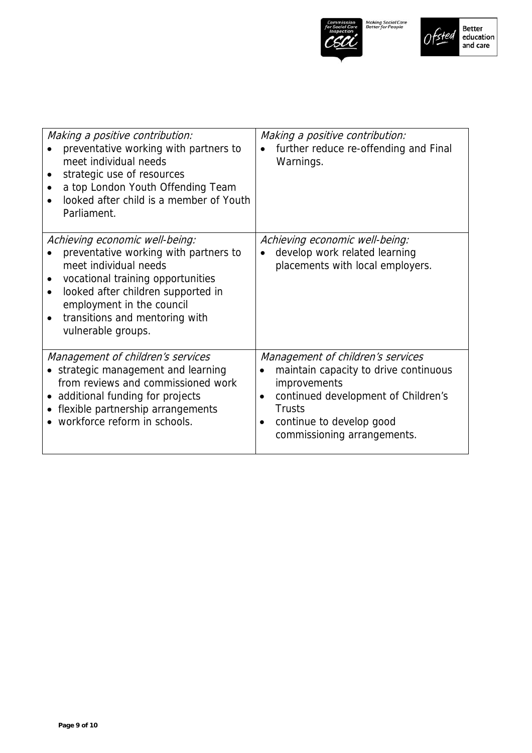



| Making a positive contribution:<br>preventative working with partners to<br>meet individual needs<br>strategic use of resources<br>$\bullet$<br>a top London Youth Offending Team<br>looked after child is a member of Youth<br>Parliament.                                                             | Making a positive contribution:<br>further reduce re-offending and Final<br>Warnings.                                                                                                                         |
|---------------------------------------------------------------------------------------------------------------------------------------------------------------------------------------------------------------------------------------------------------------------------------------------------------|---------------------------------------------------------------------------------------------------------------------------------------------------------------------------------------------------------------|
| Achieving economic well-being:<br>preventative working with partners to<br>meet individual needs<br>vocational training opportunities<br>$\bullet$<br>looked after children supported in<br>$\bullet$<br>employment in the council<br>transitions and mentoring with<br>$\bullet$<br>vulnerable groups. | Achieving economic well-being:<br>develop work related learning<br>placements with local employers.                                                                                                           |
| Management of children's services<br>• strategic management and learning<br>from reviews and commissioned work<br>• additional funding for projects<br>• flexible partnership arrangements<br>• workforce reform in schools.                                                                            | Management of children's services<br>maintain capacity to drive continuous<br>improvements<br>continued development of Children's<br><b>Trusts</b><br>continue to develop good<br>commissioning arrangements. |